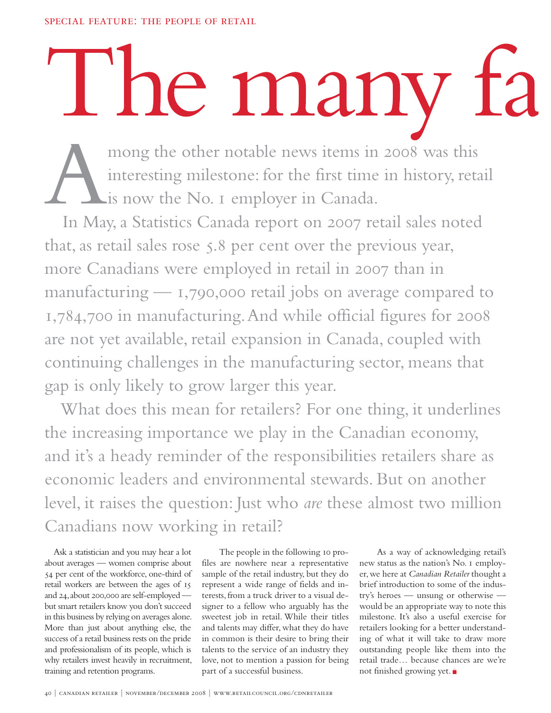## l ne many

mong the other notable news items in 2008 was this interesting milestone: for the first time in history, retail is now the No. I employer in Canada.<br>In May, a Statistics Canada report on 2007 retail sales noted interesting milestone: for the first time in history, retail is now the No. 1 employer in Canada.

that, as retail sales rose 5.8 per cent over the previous year, more Canadians were employed in retail in 2007 than in manufacturing — 1,790,000 retail jobs on average compared to 1,784,700 in manufacturing. And while official figures for 2008 are not yet available, retail expansion in Canada, coupled with continuing challenges in the manufacturing sector, means that gap is only likely to grow larger this year.

 What does this mean for retailers? For one thing, it underlines the increasing importance we play in the Canadian economy, and it's a heady reminder of the responsibilities retailers share as economic leaders and environmental stewards. But on another level, it raises the question: Just who *are* these almost two million Canadians now working in retail?

Ask a statistician and you may hear a lot about averages — women comprise about 54 per cent of the workforce, one-third of retail workers are between the ages of 15 and 24, about 200,000 are self-employed but smart retailers know you don't succeed in this business by relying on averages alone. More than just about anything else, the success of a retail business rests on the pride and professionalism of its people, which is why retailers invest heavily in recruitment, training and retention programs.

 The people in the following 10 profiles are nowhere near a representative sample of the retail industry, but they do represent a wide range of fields and interests, from a truck driver to a visual designer to a fellow who arguably has the sweetest job in retail. While their titles and talents may differ, what they do have in common is their desire to bring their talents to the service of an industry they love, not to mention a passion for being part of a successful business.

 As a way of acknowledging retail's new status as the nation's No. 1 employer, we here at *Canadian Retailer* thought a brief introduction to some of the industry's heroes — unsung or otherwise would be an appropriate way to note this milestone. It's also a useful exercise for retailers looking for a better understanding of what it will take to draw more outstanding people like them into the retail trade… because chances are we're not finished growing yet.